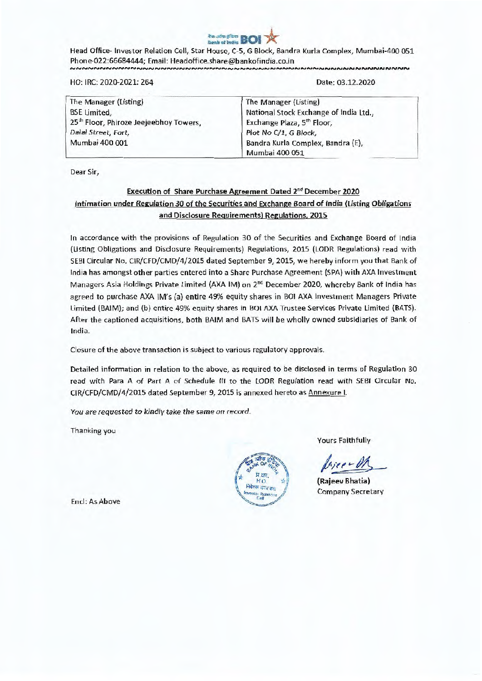

Head Office- Investor Relation Cell, Star House, C-5, G Block, Bandra Kurla Complex, Mumbai-400 051 Phone-022:66684444; Email: Headoffice.share@bankofindia.co.in NNNNNNNNNNNNNNNN

HO: IRC: 2020-2021: 264

Date: 03.12.2020

| The Manager (Listing)                              | The Manager (Listing)                  |
|----------------------------------------------------|----------------------------------------|
| <b>BSE</b> Limited,                                | National Stock Exchange of India Ltd., |
| 25 <sup>th</sup> Floor, Phiroze Jeejeebhoy Towers, | Exchange Plaza, 5 <sup>th</sup> Floor, |
| Dalal Street, Fort,                                | Plot No C/1, G Block,                  |
| Mumbai 400 001                                     | Bandra Kurla Complex, Bandra (E),      |
|                                                    | Mumbai 400 051                         |

Dear Sir,

## Execution of Share Purchase Agreement Dated 2<sup>nd</sup> December 2020 **Intimation under Regulation 30 of the Securities and Exchange Board of India (Listing Obligations and Disclosure Requirements) Regulations, 2015**

In accordance with the provisions of Regulation 30 of the Securities and Exchange Board of India (Listing Obligations and Disclosure Requirements) Regulations, 2015 (LODR Regulations) read with SERI Circular No. CIR/CFD/CMD/4/2015 dated September 9, 2015, we hereby inform you that Bank of India has amongst other parties entered into a Share Purchase Agreement (SPA) with AXA investment Managers Asia Holdings Private Limited (AXA IM) on 2<sup>nd</sup> December 2020, whereby Bank of India has agreed to purchase AXA IM's (a) entire 49% equity shares in BOl AXA Investment Managers Private Limited (BALM); and (b) entire 49% equity shares in BOI AXA Trustee Services Private Limited (BATS). After the captioned acquisitions, both BAIM and BATS **will** be wholly owned subsidiaries of Bank of India.

Closure of the above transaction is subject to various regulatory approvals.

Detailed information in relation to the above, as required to be disclosed in terms of Regulation 30 read with Para A of Part A of Schedule III to the LODR Regulation read with SEBI Circular No. CIR/CFD/CMD/4/2015 dated September 9, 2015 is annexed hereto as Annexure I.

You are requested to kindly take the same on record.

Thanking you



Yours Faithfully

 $\vee$ 

**(Rajeev Bhatia)**  Company Secretary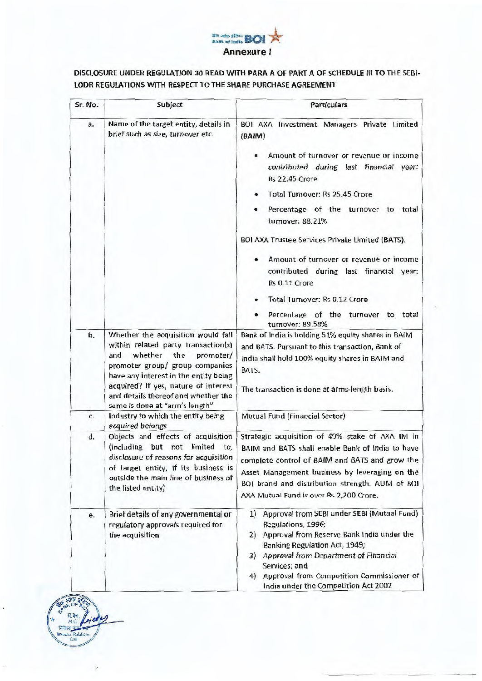## tra uite și dru **1901**<br>Aask of India **BOI Annexure I**

## **DISCLOSURE UNDER REGULATION 30 READ WITH PARA A OF PART A OF SCHEDULE III TO THE SEBI-LODR REGULATIONS WITH RESPECT TO THE SHARE PURCHASE AGREEMENT**

| Sr. No. | Subject                                                                                                                                                                                                                                                                                                   | Particulars                                                                                                                                                                                                                                                                                                                                                                                                                                                   |
|---------|-----------------------------------------------------------------------------------------------------------------------------------------------------------------------------------------------------------------------------------------------------------------------------------------------------------|---------------------------------------------------------------------------------------------------------------------------------------------------------------------------------------------------------------------------------------------------------------------------------------------------------------------------------------------------------------------------------------------------------------------------------------------------------------|
| a.      | Name of the target entity, details in<br>brief such as size, turnover etc.                                                                                                                                                                                                                                | BOI AXA Investment Managers Private Limited<br>(BAIM)<br>Amount of turnover or revenue or income<br>contributed during last financial year:<br><b>Rs 22.45 Crore</b><br>Total Turnover: Rs 25.45 Crore<br>Percentage of the turnover to total<br>turnover: 88.21%<br>BOI AXA Trustee Services Private Limited (BATS).<br>Amount of turnover or revenue or income<br>contributed during last financial year:<br>Rs 0.11 Crore<br>Total Turnover: Rs 0.12 Crore |
|         |                                                                                                                                                                                                                                                                                                           | Percentage of the turnover to total<br>turnover: 89.58%                                                                                                                                                                                                                                                                                                                                                                                                       |
| b.      | Whether the acquisition would fall<br>within related party transaction(s)<br>whether the<br>promoter/<br>and<br>promoter group/ group companies<br>have any interest in the entity being<br>acquired? If yes, nature of interest<br>and details thereof and whether the<br>same is done at "arm's length" | Bank of India is holding 51% equity shares in BAIM<br>and BATS. Pursuant to this transaction, Bank of<br>India shall hold 100% equity shares in BAIM and<br>BATS.<br>The transaction is done at arms-length basis.                                                                                                                                                                                                                                            |
| c.      | Industry to which the entity being<br>acquired belongs                                                                                                                                                                                                                                                    | Mutual Fund (Financial Sector)                                                                                                                                                                                                                                                                                                                                                                                                                                |
| d.      | Objects and effects of acquisition<br>(including but not limited to,<br>disclosure of reasons for acquisition<br>of target entity, if its business is<br>outside the main line of business of<br>the listed entity)                                                                                       | Strategic acquisition of 49% stake of AXA IM in<br>BAIM and BATS shall enable Bank of India to have<br>complete control of BAIM and BATS and grow the<br>Asset Management business by leveraging on the<br>BOI brand and distribution strength. AUM of BOI<br>AXA Mutual Fund is over Rs 2,200 Crore.                                                                                                                                                         |
| e.      | Brief details of any governmental or<br>regulatory approvals required for<br>the acquisition                                                                                                                                                                                                              | Approval from SEBI under SEBI (Mutual Fund)<br>1)<br>Regulations, 1996;<br>Approval from Reserve Bank India under the<br>21<br>Banking Regulation Act, 1949;<br>3) Approval from Department of Financial<br>Services; and<br>4) Approval from Competition Commissioner of<br>India under the Competition Act 2002                                                                                                                                             |